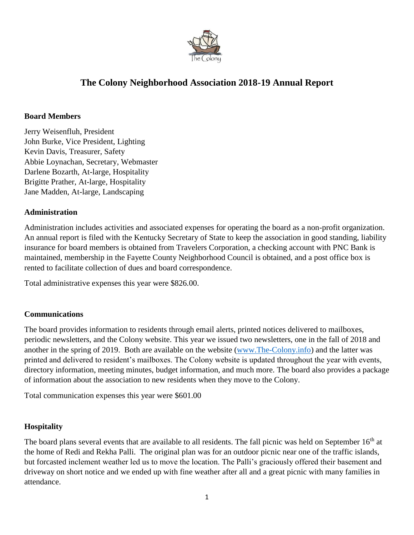

# **The Colony Neighborhood Association 2018-19 Annual Report**

### **Board Members**

Jerry Weisenfluh, President John Burke, Vice President, Lighting Kevin Davis, Treasurer, Safety Abbie Loynachan, Secretary, Webmaster Darlene Bozarth, At-large, Hospitality Brigitte Prather, At-large, Hospitality Jane Madden, At-large, Landscaping

## **Administration**

Administration includes activities and associated expenses for operating the board as a non-profit organization. An annual report is filed with the Kentucky Secretary of State to keep the association in good standing, liability insurance for board members is obtained from Travelers Corporation, a checking account with PNC Bank is maintained, membership in the Fayette County Neighborhood Council is obtained, and a post office box is rented to facilitate collection of dues and board correspondence.

Total administrative expenses this year were \$826.00.

## **Communications**

The board provides information to residents through email alerts, printed notices delivered to mailboxes, periodic newsletters, and the Colony website. This year we issued two newsletters, one in the fall of 2018 and another in the spring of 2019. Both are available on the website [\(www.The-Colony.info\)](http://www.the-colony.info/) and the latter was printed and delivered to resident's mailboxes. The Colony website is updated throughout the year with events, directory information, meeting minutes, budget information, and much more. The board also provides a package of information about the association to new residents when they move to the Colony.

Total communication expenses this year were \$601.00

## **Hospitality**

The board plans several events that are available to all residents. The fall picnic was held on September  $16<sup>th</sup>$  at the home of Redi and Rekha Palli. The original plan was for an outdoor picnic near one of the traffic islands, but forcasted inclement weather led us to move the location. The Palli's graciously offered their basement and driveway on short notice and we ended up with fine weather after all and a great picnic with many families in attendance.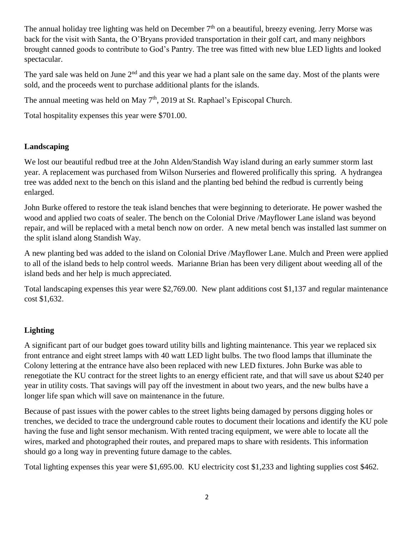The annual holiday tree lighting was held on December  $7<sup>th</sup>$  on a beautiful, breezy evening. Jerry Morse was back for the visit with Santa, the O'Bryans provided transportation in their golf cart, and many neighbors brought canned goods to contribute to God's Pantry. The tree was fitted with new blue LED lights and looked spectacular.

The yard sale was held on June  $2<sup>nd</sup>$  and this year we had a plant sale on the same day. Most of the plants were sold, and the proceeds went to purchase additional plants for the islands.

The annual meeting was held on May 7<sup>th</sup>, 2019 at St. Raphael's Episcopal Church.

Total hospitality expenses this year were \$701.00.

# **Landscaping**

We lost our beautiful redbud tree at the John Alden/Standish Way island during an early summer storm last year. A replacement was purchased from Wilson Nurseries and flowered prolifically this spring. A hydrangea tree was added next to the bench on this island and the planting bed behind the redbud is currently being enlarged.

John Burke offered to restore the teak island benches that were beginning to deteriorate. He power washed the wood and applied two coats of sealer. The bench on the Colonial Drive /Mayflower Lane island was beyond repair, and will be replaced with a metal bench now on order. A new metal bench was installed last summer on the split island along Standish Way.

A new planting bed was added to the island on Colonial Drive /Mayflower Lane. Mulch and Preen were applied to all of the island beds to help control weeds. Marianne Brian has been very diligent about weeding all of the island beds and her help is much appreciated.

Total landscaping expenses this year were \$2,769.00. New plant additions cost \$1,137 and regular maintenance cost \$1,632.

# **Lighting**

A significant part of our budget goes toward utility bills and lighting maintenance. This year we replaced six front entrance and eight street lamps with 40 watt LED light bulbs. The two flood lamps that illuminate the Colony lettering at the entrance have also been replaced with new LED fixtures. John Burke was able to renegotiate the KU contract for the street lights to an energy efficient rate, and that will save us about \$240 per year in utility costs. That savings will pay off the investment in about two years, and the new bulbs have a longer life span which will save on maintenance in the future.

Because of past issues with the power cables to the street lights being damaged by persons digging holes or trenches, we decided to trace the underground cable routes to document their locations and identify the KU pole having the fuse and light sensor mechanism. With rented tracing equipment, we were able to locate all the wires, marked and photographed their routes, and prepared maps to share with residents. This information should go a long way in preventing future damage to the cables.

Total lighting expenses this year were \$1,695.00. KU electricity cost \$1,233 and lighting supplies cost \$462.